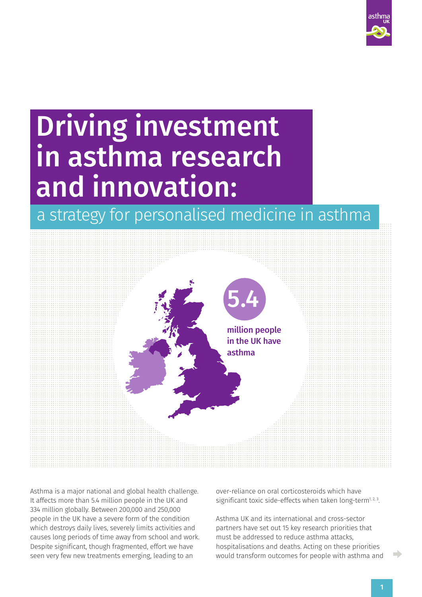

# Driving investment in asthma research and innovation: a strategy for personalised medicine in asthma



Asthma is a major national and global health challenge. It affects more than 5.4 million people in the UK and 334 million globally. Between 200,000 and 250,000 people in the UK have a severe form of the condition which destroys daily lives, severely limits activities and causes long periods of time away from school and work. Despite significant, though fragmented, effort we have seen very few new treatments emerging, leading to an

over-reliance on oral corticosteroids which have significant toxic side-effects when taken long-term<sup>1, 2, 3</sup>.

Asthma UK and its international and cross-sector partners have set out 15 key research priorities that must be addressed to reduce asthma attacks, hospitalisations and deaths. Acting on these priorities would transform outcomes for people with asthma and

1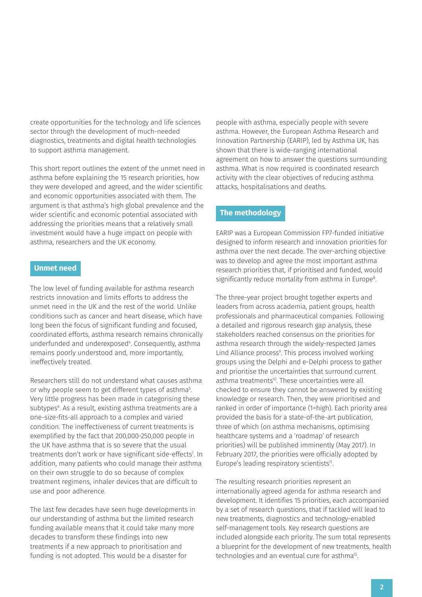create opportunities for the technology and life sciences sector through the development of much-needed diagnostics, treatments and digital health technologies to support asthma management.

This short report outlines the extent of the unmet need in asthma before explaining the 15 research priorities, how they were developed and agreed, and the wider scientific and economic opportunities associated with them. The argument is that asthma's high global prevalence and the wider scientific and economic potential associated with addressing the priorities means that a relatively small investment would have a huge impact on people with asthma, researchers and the UK economy.

#### **Unmet need**

The low level of funding available for asthma research restricts innovation and limits efforts to address the unmet need in the UK and the rest of the world. Unlike conditions such as cancer and heart disease, which have long been the focus of significant funding and focused, coordinated efforts, asthma research remains chronically underfunded and underexposed<sup>4</sup>. Consequently, asthma remains poorly understood and, more importantly, ineffectively treated.

Researchers still do not understand what causes asthma or why people seem to get different types of asthma5 . Very little progress has been made in categorising these subtypes6 . As a result, existing asthma treatments are a one-size-fits-all approach to a complex and varied condition. The ineffectiveness of current treatments is exemplified by the fact that 200,000-250,000 people in the UK have asthma that is so severe that the usual treatments don't work or have significant side-effects<sup>7</sup>. In addition, many patients who could manage their asthma on their own struggle to do so because of complex treatment regimens, inhaler devices that are difficult to use and poor adherence.

The last few decades have seen huge developments in our understanding of asthma but the limited research funding available means that it could take many more decades to transform these findings into new treatments if a new approach to prioritisation and funding is not adopted. This would be a disaster for

people with asthma, especially people with severe asthma. However, the European Asthma Research and Innovation Partnership (EARIP), led by Asthma UK, has shown that there is wide-ranging international agreement on how to answer the questions surrounding asthma. What is now required is coordinated research activity with the clear objectives of reducing asthma attacks, hospitalisations and deaths.

#### **The methodology**

EARIP was a European Commission FP7-funded initiative designed to inform research and innovation priorities for asthma over the next decade. The over-arching objective was to develop and agree the most important asthma research priorities that, if prioritised and funded, would significantly reduce mortality from asthma in Europe<sup>8</sup>.

The three-year project brought together experts and leaders from across academia, patient groups, health professionals and pharmaceutical companies. Following a detailed and rigorous research gap analysis, these stakeholders reached consensus on the priorities for asthma research through the widely-respected James Lind Alliance process<sup>9</sup>. This process involved working groups using the Delphi and e-Delphi process to gather and prioritise the uncertainties that surround current asthma treatments<sup>10</sup>. These uncertainties were all checked to ensure they cannot be answered by existing knowledge or research. Then, they were prioritised and ranked in order of importance (1=high). Each priority area provided the basis for a state-of-the-art publication, three of which (on asthma mechanisms, optimising healthcare systems and a 'roadmap' of research priorities) will be published imminently (May 2017). In February 2017, the priorities were officially adopted by Europe's leading respiratory scientists<sup>11</sup>.

The resulting research priorities represent an internationally agreed agenda for asthma research and development. It identifies 15 priorities, each accompanied by a set of research questions, that if tackled will lead to new treatments, diagnostics and technology-enabled self-management tools. Key research questions are included alongside each priority. The sum total represents a blueprint for the development of new treatments, health technologies and an eventual cure for asthma<sup>12</sup>.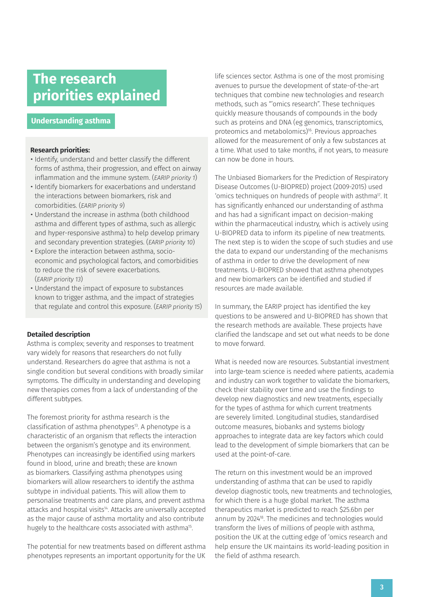## **The research priorities explained**

#### **Understanding asthma**

#### **Research priorities:**

- Identify, understand and better classify the different forms of asthma, their progression, and effect on airway inflammation and the immune system. (*EARIP priority 1*)
- Identify biomarkers for exacerbations and understand the interactions between biomarkers, risk and comorbidities. (*EARIP priority 9*)
- Understand the increase in asthma (both childhood asthma and different types of asthma, such as allergic and hyper-responsive asthma) to help develop primary and secondary prevention strategies. (*EARIP priority 10*)
- Explore the interaction between asthma, socioeconomic and psychological factors, and comorbidities to reduce the risk of severe exacerbations. (*EARIP priority 13*)
- Understand the impact of exposure to substances known to trigger asthma, and the impact of strategies that regulate and control this exposure. (*EARIP priority 15*)

#### **Detailed description**

Asthma is complex; severity and responses to treatment vary widely for reasons that researchers do not fully understand. Researchers do agree that asthma is not a single condition but several conditions with broadly similar symptoms. The difficulty in understanding and developing new therapies comes from a lack of understanding of the different subtypes.

The foremost priority for asthma research is the classification of asthma phenotypes<sup>13</sup>. A phenotype is a characteristic of an organism that reflects the interaction between the organism's genotype and its environment. Phenotypes can increasingly be identified using markers found in blood, urine and breath; these are known as biomarkers. Classifying asthma phenotypes using biomarkers will allow researchers to identify the asthma subtype in individual patients. This will allow them to personalise treatments and care plans, and prevent asthma attacks and hospital visits<sup>14</sup>. Attacks are universally accepted as the major cause of asthma mortality and also contribute hugely to the healthcare costs associated with asthma<sup>15</sup>.

The potential for new treatments based on different asthma phenotypes represents an important opportunity for the UK

life sciences sector. Asthma is one of the most promising avenues to pursue the development of state-of-the-art techniques that combine new technologies and research methods, such as "'omics research". These techniques quickly measure thousands of compounds in the body such as proteins and DNA (eg genomics, transcriptomics, proteomics and metabolomics)16. Previous approaches allowed for the measurement of only a few substances at a time. What used to take months, if not years, to measure can now be done in hours.

The Unbiased Biomarkers for the Prediction of Respiratory Disease Outcomes (U-BIOPRED) project (2009-2015) used 'omics techniques on hundreds of people with asthma<sup>17</sup>. It has significantly enhanced our understanding of asthma and has had a significant impact on decision-making within the pharmaceutical industry, which is actively using U-BIOPRED data to inform its pipeline of new treatments. The next step is to widen the scope of such studies and use the data to expand our understanding of the mechanisms of asthma in order to drive the development of new treatments. U-BIOPRED showed that asthma phenotypes and new biomarkers can be identified and studied if resources are made available.

In summary, the EARIP project has identified the key questions to be answered and U-BIOPRED has shown that the research methods are available. These projects have clarified the landscape and set out what needs to be done to move forward.

What is needed now are resources. Substantial investment into large-team science is needed where patients, academia and industry can work together to validate the biomarkers, check their stability over time and use the findings to develop new diagnostics and new treatments, especially for the types of asthma for which current treatments are severely limited. Longitudinal studies, standardised outcome measures, biobanks and systems biology approaches to integrate data are key factors which could lead to the development of simple biomarkers that can be used at the point-of-care.

The return on this investment would be an improved understanding of asthma that can be used to rapidly develop diagnostic tools, new treatments and technologies, for which there is a huge global market. The asthma therapeutics market is predicted to reach \$25.6bn per annum by 202418. The medicines and technologies would transform the lives of millions of people with asthma, position the UK at the cutting edge of 'omics research and help ensure the UK maintains its world-leading position in the field of asthma research.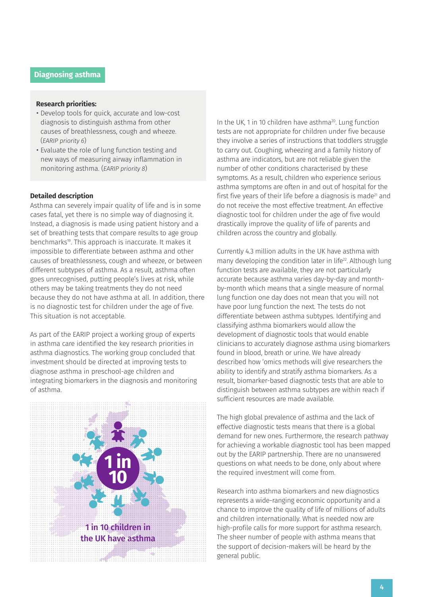#### **Diagnosing asthma**

#### **Research priorities:**

- Develop tools for quick, accurate and low-cost diagnosis to distinguish asthma from other causes of breathlessness, cough and wheeze. (*EARIP priority 6*)
- Evaluate the role of lung function testing and new ways of measuring airway inflammation in monitoring asthma. (*EARIP priority 8*)

#### **Detailed description**

Asthma can severely impair quality of life and is in some cases fatal, yet there is no simple way of diagnosing it. Instead, a diagnosis is made using patient history and a set of breathing tests that compare results to age group benchmarks<sup>19</sup>. This approach is inaccurate. It makes it impossible to differentiate between asthma and other causes of breathlessness, cough and wheeze, or between different subtypes of asthma. As a result, asthma often goes unrecognised, putting people's lives at risk, while others may be taking treatments they do not need because they do not have asthma at all. In addition, there is no diagnostic test for children under the age of five. This situation is not acceptable.

As part of the EARIP project a working group of experts in asthma care identified the key research priorities in asthma diagnostics. The working group concluded that investment should be directed at improving tests to diagnose asthma in preschool-age children and integrating biomarkers in the diagnosis and monitoring of asthma.



In the UK, 1 in 10 children have asthma<sup>20</sup>. Lung function tests are not appropriate for children under five because they involve a series of instructions that toddlers struggle to carry out. Coughing, wheezing and a family history of asthma are indicators, but are not reliable given the number of other conditions characterised by these symptoms. As a result, children who experience serious asthma symptoms are often in and out of hospital for the first five years of their life before a diagnosis is made<sup>21</sup> and do not receive the most effective treatment. An effective diagnostic tool for children under the age of five would drastically improve the quality of life of parents and children across the country and globally.

Currently 4.3 million adults in the UK have asthma with many developing the condition later in life<sup>22</sup>. Although lung function tests are available, they are not particularly accurate because asthma varies day-by-day and monthby-month which means that a single measure of normal lung function one day does not mean that you will not have poor lung function the next. The tests do not differentiate between asthma subtypes. Identifying and classifying asthma biomarkers would allow the development of diagnostic tools that would enable clinicians to accurately diagnose asthma using biomarkers found in blood, breath or urine. We have already described how 'omics methods will give researchers the ability to identify and stratify asthma biomarkers. As a result, biomarker-based diagnostic tests that are able to distinguish between asthma subtypes are within reach if sufficient resources are made available.

The high global prevalence of asthma and the lack of effective diagnostic tests means that there is a global demand for new ones. Furthermore, the research pathway for achieving a workable diagnostic tool has been mapped out by the EARIP partnership. There are no unanswered questions on what needs to be done, only about where the required investment will come from.

Research into asthma biomarkers and new diagnostics represents a wide-ranging economic opportunity and a chance to improve the quality of life of millions of adults and children internationally. What is needed now are high-profile calls for more support for asthma research. The sheer number of people with asthma means that the support of decision-makers will be heard by the general public.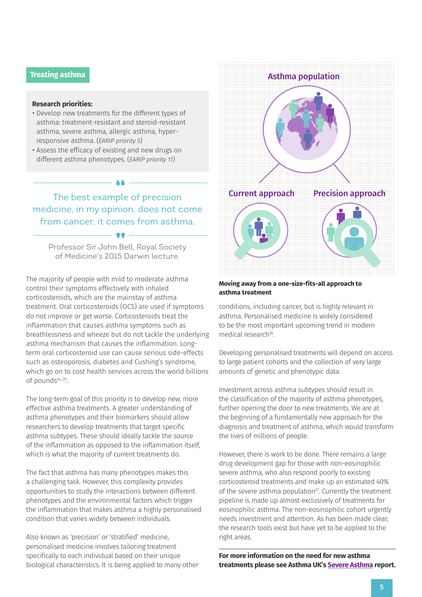#### **Treating asthma**

#### **Research priorities:**

- Develop new treatments for the different types of asthma: treatment-resistant and steroid-resistant asthma, severe asthma, allergic asthma, hyperresponsive asthma. (*EARIP priority 5*)
- Assess the efficacy of existing and new drugs on different asthma phenotypes. (*EARIP priority 11*)

The best example of precision medicine, in my opinion, does not come from cancer, it comes from asthma.

Professor Sir John Bell, Royal Society of Medicine's 2015 Darwin lecture.

The majority of people with mild to moderate asthma control their symptoms effectively with inhaled corticosteroids, which are the mainstay of asthma treatment. Oral corticosteroids (OCS) are used if symptoms do not improve or get worse. Corticosteroids treat the inflammation that causes asthma symptoms such as breathlessness and wheeze but do not tackle the underlying asthma mechanism that causes the inflammation. Longterm oral corticosteroid use can cause serious side-effects such as osteoporosis, diabetes and Cushing's syndrome, which go on to cost health services across the world billions of pounds<sup>24, 25</sup>.

The long-term goal of this priority is to develop new, more effective asthma treatments. A greater understanding of asthma phenotypes and their biomarkers should allow researchers to develop treatments that target specific asthma subtypes. These should ideally tackle the source of the inflammation as opposed to the inflammation itself, which is what the majority of current treatments do.

The fact that asthma has many phenotypes makes this a challenging task. However, this complexity provides opportunities to study the interactions between different phenotypes and the environmental factors which trigger the inflammation that makes asthma a highly personalised condition that varies widely between individuals.

Also known as 'precision' or 'stratified' medicine, personalised medicine involves tailoring treatment specifically to each individual based on their unique biological characteristics. It is being applied to many other



**Moving away from a one-size-fits-all approach to asthma treatment**

conditions, including cancer, but is highly relevant in asthma. Personalised medicine is widely considered to be the most important upcoming trend in modern medical research<sup>26</sup>.

Developing personalised treatments will depend on access to large patient cohorts and the collection of very large amounts of genetic and phenotypic data.

Investment across asthma subtypes should result in the classification of the majority of asthma phenotypes, further opening the door to new treatments. We are at the beginning of a fundamentally new approach for the diagnosis and treatment of asthma, which would transform the lives of millions of people.

However, there is work to be done. There remains a large drug development gap for those with non-eosinophilic severe asthma, who also respond poorly to existing corticosteroid treatments and make up an estimated 40% of the severe asthma population<sup>27</sup>. Currently the treatment pipeline is made up almost exclusively of treatments for eosinophilic asthma. The non-eosinophilic cohort urgently needs investment and attention. As has been made clear, the research tools exist but have yet to be applied to the right areas.

**For more information on the need for new asthma treatments please see Asthma UK's [Severe Asthma](https://www.asthma.org.uk/get-involved/campaigns/publications/severe-asthma-report/) report.**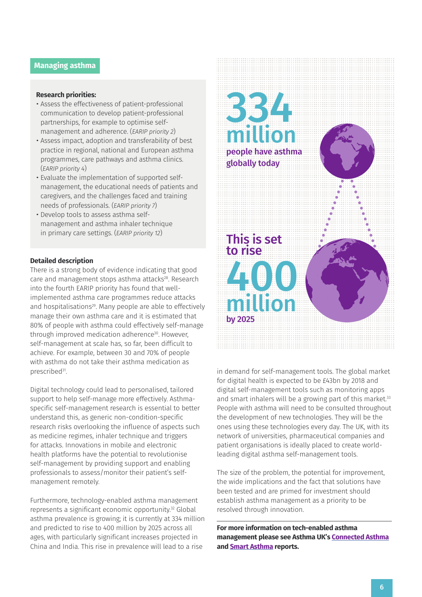#### **Managing asthma**

#### **Research priorities:**

- Assess the effectiveness of patient-professional communication to develop patient-professional partnerships, for example to optimise selfmanagement and adherence. (*EARIP priority 2*)
- Assess impact, adoption and transferability of best practice in regional, national and European asthma programmes, care pathways and asthma clinics. (*EARIP priority 4*)
- Evaluate the implementation of supported selfmanagement, the educational needs of patients and caregivers, and the challenges faced and training needs of professionals. (*EARIP priority 7*)
- Develop tools to assess asthma selfmanagement and asthma inhaler technique in primary care settings. (*EARIP priority 12*)

#### **Detailed description**

There is a strong body of evidence indicating that good care and management stops asthma attacks<sup>28</sup>. Research into the fourth EARIP priority has found that wellimplemented asthma care programmes reduce attacks and hospitalisations<sup>29</sup>. Many people are able to effectively manage their own asthma care and it is estimated that 80% of people with asthma could effectively self-manage through improved medication adherence<sup>30</sup>. However, self-management at scale has, so far, been difficult to achieve. For example, between 30 and 70% of people with asthma do not take their asthma medication as prescribed31.

Digital technology could lead to personalised, tailored support to help self-manage more effectively. Asthmaspecific self-management research is essential to better understand this, as generic non-condition-specific research risks overlooking the influence of aspects such as medicine regimes, inhaler technique and triggers for attacks. Innovations in mobile and electronic health platforms have the potential to revolutionise self-management by providing support and enabling professionals to assess/monitor their patient's selfmanagement remotely.

Furthermore, technology-enabled asthma management represents a significant economic opportunity.32 Global asthma prevalence is growing; it is currently at 334 million and predicted to rise to 400 million by 2025 across all ages, with particularly significant increases projected in China and India. This rise in prevalence will lead to a rise



in demand for self-management tools. The global market for digital health is expected to be £43bn by 2018 and digital self-management tools such as monitoring apps and smart inhalers will be a growing part of this market.<sup>33</sup> People with asthma will need to be consulted throughout the development of new technologies. They will be the ones using these technologies every day. The UK, with its network of universities, pharmaceutical companies and patient organisations is ideally placed to create worldleading digital asthma self-management tools.

The size of the problem, the potential for improvement, the wide implications and the fact that solutions have been tested and are primed for investment should establish asthma management as a priority to be resolved through innovation.

**For more information on tech-enabled asthma management please see Asthma UK's [Connected Asthma](https://www.asthma.org.uk/connectedasthma) and [Smart Asthma](https://www.asthma.org.uk/get-involved/campaigns/publications/smartasthma/?gclid=CI_B0rji9tICFYg-GwodbbEOzA) reports.**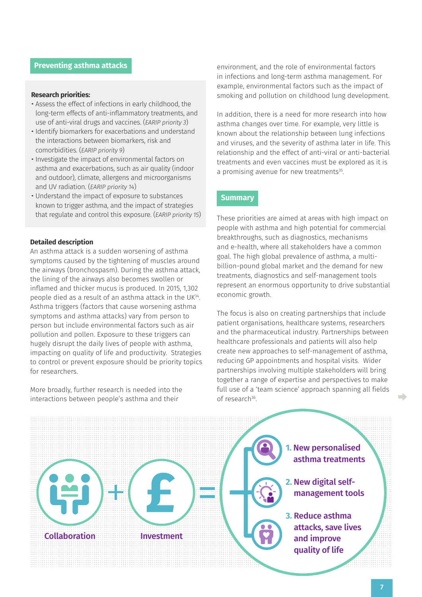#### **Preventing asthma attacks**

#### **Research priorities:**

- Assess the effect of infections in early childhood, the long-term effects of anti-inflammatory treatments, and use of anti-viral drugs and vaccines. (*EARIP priority 3*)
- Identify biomarkers for exacerbations and understand the interactions between biomarkers, risk and comorbidities. (*EARIP priority 9*)
- Investigate the impact of environmental factors on asthma and exacerbations, such as air quality (indoor and outdoor), climate, allergens and microorganisms and UV radiation. (*EARIP priority 14*)
- Understand the impact of exposure to substances known to trigger asthma, and the impact of strategies that regulate and control this exposure. (*EARIP priority 15*)

#### **Detailed description**

An asthma attack is a sudden worsening of asthma symptoms caused by the tightening of muscles around the airways (bronchospasm). During the asthma attack, the lining of the airways also becomes swollen or inflamed and thicker mucus is produced. In 2015, 1,302 people died as a result of an asthma attack in the UK34. Asthma triggers (factors that cause worsening asthma symptoms and asthma attacks) vary from person to person but include environmental factors such as air pollution and pollen. Exposure to these triggers can hugely disrupt the daily lives of people with asthma, impacting on quality of life and productivity. Strategies to control or prevent exposure should be priority topics for researchers.

More broadly, further research is needed into the interactions between people's asthma and their

environment, and the role of environmental factors in infections and long-term asthma management. For example, environmental factors such as the impact of smoking and pollution on childhood lung development.

In addition, there is a need for more research into how asthma changes over time. For example, very little is known about the relationship between lung infections and viruses, and the severity of asthma later in life. This relationship and the effect of anti-viral or anti-bacterial treatments and even vaccines must be explored as it is a promising avenue for new treatments<sup>35</sup>.

#### **Summary**

These priorities are aimed at areas with high impact on people with asthma and high potential for commercial breakthroughs, such as diagnostics, mechanisms and e-health, where all stakeholders have a common goal. The high global prevalence of asthma, a multibillion-pound global market and the demand for new treatments, diagnostics and self-management tools represent an enormous opportunity to drive substantial economic growth.

The focus is also on creating partnerships that include patient organisations, healthcare systems, researchers and the pharmaceutical industry. Partnerships between healthcare professionals and patients will also help create new approaches to self-management of asthma, reducing GP appointments and hospital visits. Wider partnerships involving multiple stakeholders will bring together a range of expertise and perspectives to make full use of a 'team science' approach spanning all fields of research<sup>36</sup>.

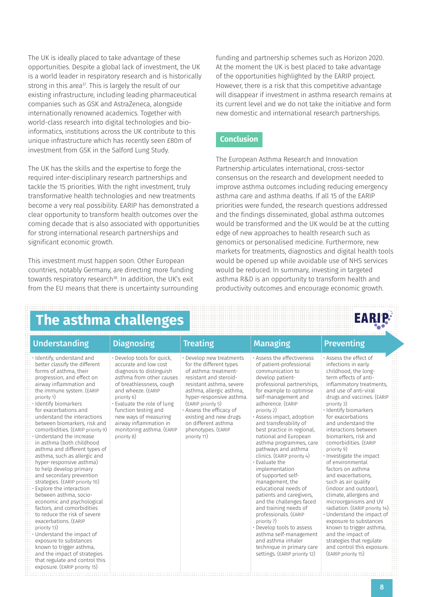The UK is ideally placed to take advantage of these opportunities. Despite a global lack of investment, the UK is a world leader in respiratory research and is historically strong in this area<sup>37</sup>. This is largely the result of our existing infrastructure, including leading pharmaceutical companies such as GSK and AstraZeneca, alongside internationally renowned academics. Together with world-class research into digital technologies and bioinformatics, institutions across the UK contribute to this unique infrastructure which has recently seen £80m of investment from GSK in the Salford Lung Study.

The UK has the skills and the expertise to forge the required inter-disciplinary research partnerships and tackle the 15 priorities. With the right investment, truly transformative health technologies and new treatments become a very real possibility. EARIP has demonstrated a clear opportunity to transform health outcomes over the coming decade that is also associated with opportunities for strong international research partnerships and significant economic growth.

This investment must happen soon. Other European countries, notably Germany, are directing more funding towards respiratory research<sup>38</sup>. In addition, the UK's exit from the EU means that there is uncertainty surrounding funding and partnership schemes such as Horizon 2020. At the moment the UK is best placed to take advantage of the opportunities highlighted by the EARIP project. However, there is a risk that this competitive advantage will disappear if investment in asthma research remains at its current level and we do not take the initiative and form new domestic and international research partnerships.

#### **Conclusion**

The European Asthma Research and Innovation Partnership articulates international, cross-sector consensus on the research and development needed to improve asthma outcomes including reducing emergency asthma care and asthma deaths. If all 15 of the EARIP priorities were funded, the research questions addressed and the findings disseminated, global asthma outcomes would be transformed and the UK would be at the cutting edge of new approaches to health research such as genomics or personalised medicine. Furthermore, new markets for treatments, diagnostics and digital health tools would be opened up while avoidable use of NHS services would be reduced. In summary, investing in targeted asthma R&D is an opportunity to transform health and productivity outcomes and encourage economic growth.

| <b>Understanding</b>                                                                                                                                                                                                                                                                                                                                                                                                                                                                                                                                                                                                                                                                                                                                                                                                                                                                                                                                                                     | <b>Diagnosing</b>                                                                                                                                                                                                                                                                                                                  | <b>Treating</b>                                                                                                                                                                                                                                                                                                                     | <b>Managing</b>                                                                                                                                                                                                                                                                                                                                                                                                                                                                                                                                                                                                                                                                                                                                                                       | <b>Preventing</b>                                                                                                                                                                                                                                                                                                                                                                                                                                                                                                                                                                                                                                                                                                                                                                     |
|------------------------------------------------------------------------------------------------------------------------------------------------------------------------------------------------------------------------------------------------------------------------------------------------------------------------------------------------------------------------------------------------------------------------------------------------------------------------------------------------------------------------------------------------------------------------------------------------------------------------------------------------------------------------------------------------------------------------------------------------------------------------------------------------------------------------------------------------------------------------------------------------------------------------------------------------------------------------------------------|------------------------------------------------------------------------------------------------------------------------------------------------------------------------------------------------------------------------------------------------------------------------------------------------------------------------------------|-------------------------------------------------------------------------------------------------------------------------------------------------------------------------------------------------------------------------------------------------------------------------------------------------------------------------------------|---------------------------------------------------------------------------------------------------------------------------------------------------------------------------------------------------------------------------------------------------------------------------------------------------------------------------------------------------------------------------------------------------------------------------------------------------------------------------------------------------------------------------------------------------------------------------------------------------------------------------------------------------------------------------------------------------------------------------------------------------------------------------------------|---------------------------------------------------------------------------------------------------------------------------------------------------------------------------------------------------------------------------------------------------------------------------------------------------------------------------------------------------------------------------------------------------------------------------------------------------------------------------------------------------------------------------------------------------------------------------------------------------------------------------------------------------------------------------------------------------------------------------------------------------------------------------------------|
| · Identify, understand and<br>better classify the different<br>forms of asthma, their<br>progression, and effect on<br>airway inflammation and<br>the immune system. (EARIP<br>priority 1)<br>· Identify biomarkers<br>for exacerbations and<br>understand the interactions<br>between biomarkers, risk and<br>comorbidities. (EARIP priority 9)<br>$\cdot$ Understand the increase<br>in asthma (both childhood<br>asthma and different types of<br>asthma, such as allergic and<br>hyper-responsive asthma)<br>to help develop primary<br>and secondary prevention<br>strategies. (EARIP priority 10)<br>Explore the interaction<br>between asthma, socio-<br>economic and psychological<br>factors, and comorbidities<br>to reduce the risk of severe<br>exacerbations. (EARIP<br>priority 13)<br>· Understand the impact of<br>exposure to substances<br>known to trigger asthma,<br>and the impact of strategies<br>that regulate and control this<br>exposure. (EARIP priority 15) | · Develop tools for quick,<br>accurate and low cost<br>diagnosis to distinguish<br>asthma from other causes<br>of breathlessness, cough<br>and wheeze, (EARIP<br>priority 6)<br>· Evaluate the role of lung<br>function testing and<br>new ways of measuring<br>airway inflammation in<br>monitoring asthma. (EARIP<br>priority 8) | · Develop new treatments<br>for the different types<br>of asthma: treatment-<br>resistant and steroid-<br>resistant asthma, severe<br>asthma, allergic asthma,<br>hyper-responsive asthma.<br>(EARIP priority 5)<br>· Assess the efficacy of<br>existing and new drugs<br>on different asthma<br>phenotypes. (EARIP<br>priority 11) | · Assess the effectiveness<br>of patient-professional<br>communication to<br>develop patient-<br>professional partnerships.<br>for example to optimise<br>self-management and<br>adherence. (EARIP<br>priority 2)<br>· Assess impact, adoption<br>and transferability of<br>best practice in regional.<br>national and European<br>asthma programmes, care<br>pathways and asthma<br>clinics. (EARIP priority 4)<br>Evaluate the<br>implementation<br>of supported self-<br>management, the<br>educational needs of<br>patients and caregivers.<br>and the challenges faced<br>and training needs of<br>professionals. (EARIP<br>priority 7)<br>Develop tools to assess<br>asthma self-management<br>and asthma inhaler<br>technique in primary care<br>settings. (EARIP priority 12) | · Assess the effect of<br>infections in early<br>childhood, the long-<br>term effects of anti-<br>inflammatory treatments.<br>and use of anti-viral<br>drugs and vaccines. (EARIP<br>priority 3)<br>· Identify biomarkers<br>for exacerbations<br>and understand the<br>interactions between<br>biomarkers, risk and<br>comorbidities. (EARIP<br>priority 9)<br>· Investigate the impact<br>of environmental<br>factors on asthma<br>and exacerbations.<br>such as air quality<br>(indoor and outdoor).<br>climate, allergens and<br>microorganisms and UV<br>radiation. (EARIP priority 14).<br>Understand the impact of<br>exposure to substances<br>known to trigger asthma,<br>and the impact of<br>strategies that regulate<br>and control this exposure.<br>(EARIP priority 15) |

## **The asthma challenges**